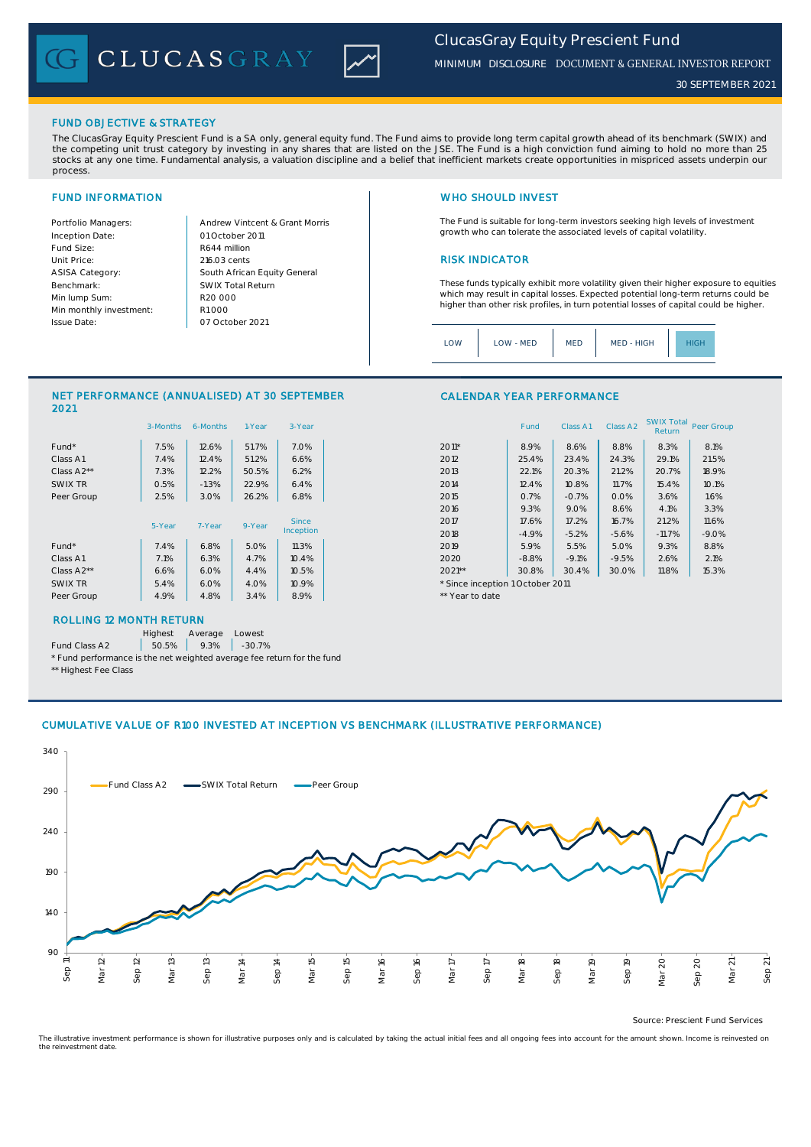CLUCASGRAY



*MINIMUM DISCLOSURE* DOCUMENT & GENERAL INVESTOR REPORT

*30 SEPTEMBER 2021*

### FUND OBJECTIVE & STRATEGY

The ClucasGray Equity Prescient Fund is a SA only, general equity fund. The Fund aims to provide long term capital growth ahead of its benchmark (SWIX) and<br>the competing unit trust category by investing in any shares that stocks at any one time. Fundamental analysis, a valuation discipline and a belief that inefficient markets create opportunities in mispriced assets underpin our process.

Inception Date: Fund Size: R644 million ASISA Category: Benchmark: Min lump Sum: Min monthly investment: Issue Date:

Portfolio Managers: <br>Andrew Vintcent & Grant Morris Unit Price: 216.03 cents 2016.03 cents South African Equity General 216.03 cents R1 000 01 October 2011 07 October 2021 R20 000 SWIX Total Return

# FUND INFORMATION NETWORK IN THE SERVICE OF THE SERVICE OF THE WHO SHOULD INVEST

The Fund is suitable for long-term investors seeking high levels of investment growth who can tolerate the associated levels of capital volatility.

These funds typically exhibit more volatility given their higher exposure to equities which may result in capital losses. Expected potential long-term returns could be higher than other risk profiles, in turn potential losses of capital could be higher.

Class A1 Class A2 SWIX Total Return Peer Group

| MED - HIGH<br>LOW<br>LOW - MED<br><b>MED</b><br>IGF |
|-----------------------------------------------------|
|-----------------------------------------------------|

CALENDAR YEAR PERFORMANCE

### NET PERFORMANCE (ANNUALISED) AT 30 SEPTEMBER 2021

|            | 3-Months | 6-Months | 1-Year | 3-Year    |                                  | Fund    | Class A1 | Class A <sub>2</sub> | <b>SWIX Total</b><br>Return | Peer Gro |
|------------|----------|----------|--------|-----------|----------------------------------|---------|----------|----------------------|-----------------------------|----------|
| Fund*      | 7.5%     | 12.6%    | 51.7%  | 7.0%      | $2011*$                          | 8.9%    | 8.6%     | 8.8%                 | 8.3%                        | 8.1%     |
| Class A1   | 7.4%     | 12.4%    | 51.2%  | 6.6%      | 2012                             | 25.4%   | 23.4%    | 24.3%                | 29.1%                       | 21.5%    |
| Class A2** | 7.3%     | 12.2%    | 50.5%  | 6.2%      | 2013                             | 22.1%   | 20.3%    | 21.2%                | 20.7%                       | 18.9%    |
| SWIX TR    | 0.5%     | $-1.3%$  | 22.9%  | 6.4%      | 2014                             | 12.4%   | 10.8%    | 11.7%                | 15.4%                       | 10.1%    |
| Peer Group | 2.5%     | 3.0%     | 26.2%  | 6.8%      | 2015                             | 0.7%    | $-0.7%$  | 0.0%                 | 3.6%                        | 1.6%     |
|            |          |          |        |           | 2016                             | 9.3%    | 9.0%     | 8.6%                 | 4.1%                        | 3.3%     |
|            | 5-Year   | 7-Year   | 9-Year | Since     | 2017                             | 17.6%   | 17.2%    | 16.7%                | 21.2%                       | 11.6%    |
|            |          |          |        | Inception | 2018                             | $-4.9%$ | $-5.2%$  | $-5.6%$              | $-11.7%$                    | $-9.0%$  |
| Fund*      | 7.4%     | 6.8%     | 5.0%   | 11.3%     | 2019                             | 5.9%    | 5.5%     | 5.0%                 | 9.3%                        | 8.8%     |
| Class A1   | 7.1%     | 6.3%     | 4.7%   | 10.4%     | 2020                             | $-8.8%$ | $-9.1%$  | $-9.5%$              | 2.6%                        | 2.1%     |
| Class A2** | 6.6%     | 6.0%     | 4.4%   | 10.5%     | $2021**$                         | 30.8%   | 30.4%    | 30.0%                | 11.8%                       | 15.3%    |
| SWIX TR    | 5.4%     | 6.0%     | 4.0%   | 10.9%     | * Since inception 1 October 2011 |         |          |                      |                             |          |
| Peer Group | 4.9%     | 4.8%     | 3.4%   | 8.9%      | ** Year to date                  |         |          |                      |                             |          |
|            |          |          |        |           |                                  |         |          |                      |                             |          |

# ROLLING 12 MONTH RETURN

Highest Average Lowest

Fund Class A2  $\begin{array}{|c|c|c|c|c|} \hline \text{50.5\%} & \text{9.3\%} & \text{-30.7\%} \hline \end{array}$ 

\* Fund performance is the net weighted average fee return for the fund \*\* Highest Fee Class

### CUMULATIVE VALUE OF R100 INVESTED AT INCEPTION VS BENCHMARK (ILLUSTRATIVE PERFORMANCE)



Source: Prescient Fund Services

The illustrative investment performance is shown for illustrative purposes only and is calculated by taking the actual initial fees and all ongoing fees into account for the amount shown. Income is reinvested on the reinvestment date.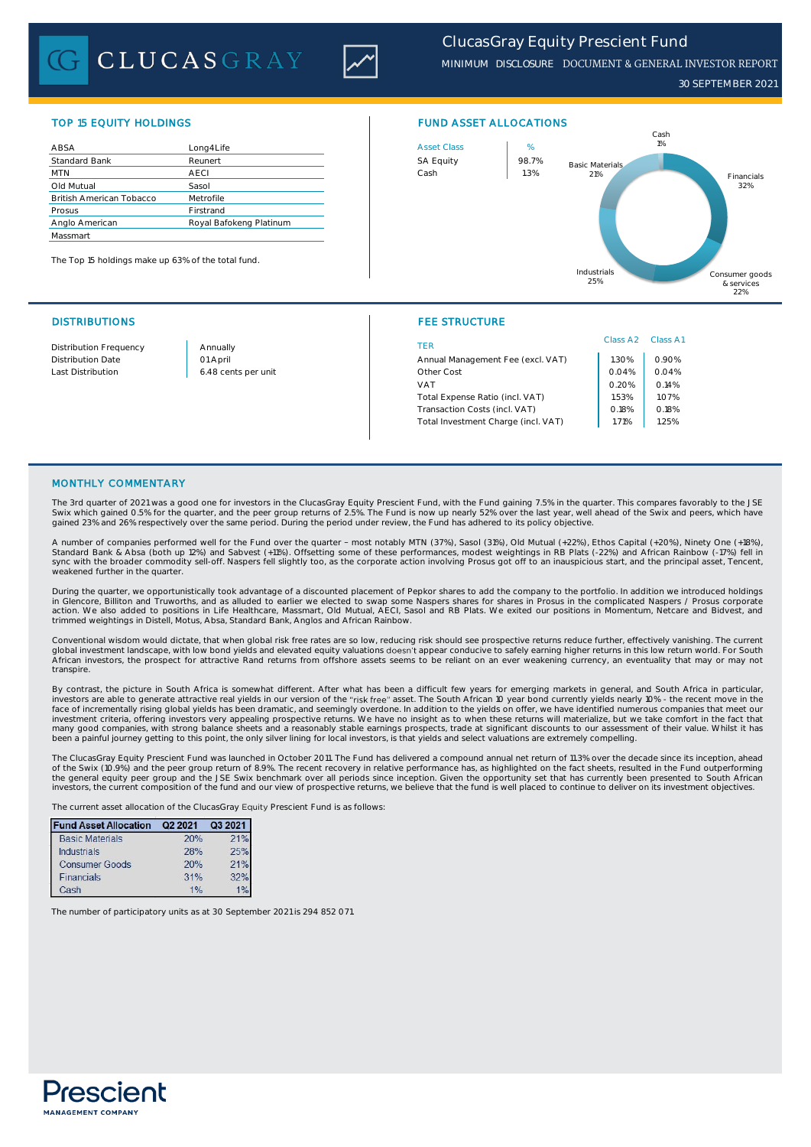# **CLUCASGRAY**



*30 SEPTEMBER 2021*

| ABSA                            | Long4Life               | <b>Asset Class</b> | %     |
|---------------------------------|-------------------------|--------------------|-------|
| Standard Bank                   | Reunert                 | <b>SA Equity</b>   | 98.7% |
| <b>MTN</b>                      | <b>AECI</b>             | Cash               | 1.3%  |
| Old Mutual                      | Sasol                   |                    |       |
| <b>British American Tobacco</b> | Metrofile               |                    |       |
| Prosus                          | Firstrand               |                    |       |
| Anglo American                  | Royal Bafokeng Platinum |                    |       |
| Massmart                        |                         |                    |       |

The Top 15 holdings make up 63% of the total fund.





### DISTRIBUTIONS FEE STRUCTURE

| Distribution Frequency | Annually            | TER                                 | Class A <sub>2</sub> | Class A1 |
|------------------------|---------------------|-------------------------------------|----------------------|----------|
| Distribution Date      | 01 April            | Annual Management Fee (excl. VAT)   | .30%                 | 0.90%    |
| Last Distribution      | 6.48 cents per unit | Other Cost                          | 0.04%                | 0.04%    |
|                        |                     | VAT                                 | 0.20%                | 0.14%    |
|                        |                     | Total Expense Ratio (incl. VAT)     | 1.53%                | 1.07%    |
|                        |                     | Transaction Costs (incl. VAT)       | 0.18%                | 0.18%    |
|                        |                     | Total Investment Charge (incl. VAT) | .71%                 | 1.25%    |
|                        |                     |                                     |                      |          |

### MONTHLY COMMENTARY

The 3rd quarter of 2021 was a good one for investors in the ClucasGray Equity Prescient Fund, with the Fund gaining 7.5% in the quarter. This compares favorably to the JSE<br>Swix which gained 0.5% for the quarter, and the pe gained 23% and 26% respectively over the same period. During the period under review, the Fund has adhered to its policy objective.

A number of companies performed well for the Fund over the quarter - most notably MTN (37%), Sasol (31%), Old Mutual (+22%), Ethos Capital (+20%), Ninety One (+18%), Standard Bank & Absa (both up 12%) and Sabvest (+11%). Offsetting some of these performances, modest weightings in RB Plats (-22%) and African Rainbow (-17%) fell in<br>sync with the broader commodity sell-off. Naspers fell s weakened further in the quarter

During the quarter, we opportunistically took advantage of a discounted placement of Pepkor shares to add the company to the portfolio. In addition we introduced holdings in Glencore, Billiton and Truworths, and as alluded to earlier we elected to swap some Naspers shares for shares in Prosus in the complicated Naspers / Prosus corporate<br>action. We also added to positions in Life Healthcare trimmed weightings in Distell, Motus, Absa, Standard Bank, Anglos and African Rainbow.

Conventional wisdom would dictate, that when global risk free rates are so low, reducing risk should see prospective returns reduce further, effectively vanishing. The current<br>global investment landscape, with low bond yie transpire.

By contrast, the picture in South Africa is somewhat different. After what has been a difficult few years for emerging markets in general, and South Africa in particular, investors are able to general entractive real yield

The ClucasGray Equity Prescient Fund was launched in October 2011. The Fund has delivered a compound annual net return of 11.3% over the decade since its inception, ahead of the Swix (10.9%) and the peer group return of 8.9%. The recent recovery in relative performance has, as highlighted on the fact sheets, resulted in the Fund outperforming<br>the general equity peer group and the JSE Swix b investors, the current composition of the fund and our view of prospective returns, we believe that the fund is well placed to continue to deliver on its investment objectives.

The current asset allocation of the ClucasGray Equity Prescient Fund is as follows:

| <b>Fund Asset Allocation</b> | Q2 2021 | Q3 2021 |
|------------------------------|---------|---------|
| <b>Basic Materials</b>       | 20%     | 21%     |
| <b>Industrials</b>           | 28%     | 25%     |
| <b>Consumer Goods</b>        | 20%     | 21%     |
| Financials                   | 31%     | 32%     |
| Cash                         | 1%      |         |

The number of participatory units as at 30 September 2021 is 294 852 071.